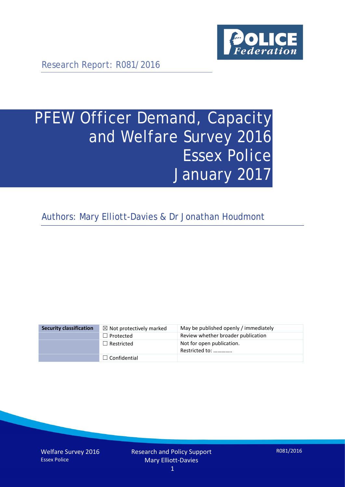

Research Report: R081/2016

# PFEW Officer Demand, Capacity and Welfare Survey 2016 Essex Police January 2017

Authors: Mary Elliott-Davies & Dr Jonathan Houdmont

| <b>Security classification</b> | $\boxtimes$ Not protectively marked | May be published openly / immediately       |
|--------------------------------|-------------------------------------|---------------------------------------------|
|                                | $\Box$ Protected                    | Review whether broader publication          |
|                                | $\Box$ Restricted                   | Not for open publication.<br>Restricted to: |
|                                | $\Box$ Confidential                 |                                             |

Welfare Survey 2016 Essex Police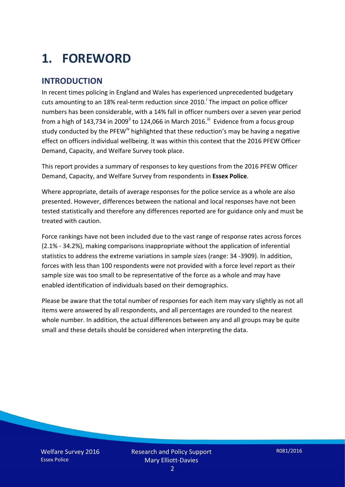# **1. FOREWORD**

## **INTRODUCTION**

In recent times policing in England and Wales has experienced unprecedented budgetary cuts amount[i](#page-15-0)ng to an 18% real-term reduction since 2010.<sup>1</sup> The impact on police officer numbers has been considerable, with a 14% fall in officer numbers over a seven year period from a high of 143,734 in 2009<sup>[ii](#page-15-1)</sup> to 124,066 in March 2016.<sup>[iii](#page-15-2)</sup> Evidence from a focus group study conducted by the PFEW<sup>[iv](#page-15-3)</sup> highlighted that these reduction's may be having a negative effect on officers individual wellbeing. It was within this context that the 2016 PFEW Officer Demand, Capacity, and Welfare Survey took place.

This report provides a summary of responses to key questions from the 2016 PFEW Officer Demand, Capacity, and Welfare Survey from respondents in **Essex Police**.

Where appropriate, details of average responses for the police service as a whole are also presented. However, differences between the national and local responses have not been tested statistically and therefore any differences reported are for guidance only and must be treated with caution.

Force rankings have not been included due to the vast range of response rates across forces (2.1% - 34.2%), making comparisons inappropriate without the application of inferential statistics to address the extreme variations in sample sizes (range: 34 -3909). In addition, forces with less than 100 respondents were not provided with a force level report as their sample size was too small to be representative of the force as a whole and may have enabled identification of individuals based on their demographics.

Please be aware that the total number of responses for each item may vary slightly as not all items were answered by all respondents, and all percentages are rounded to the nearest whole number. In addition, the actual differences between any and all groups may be quite small and these details should be considered when interpreting the data.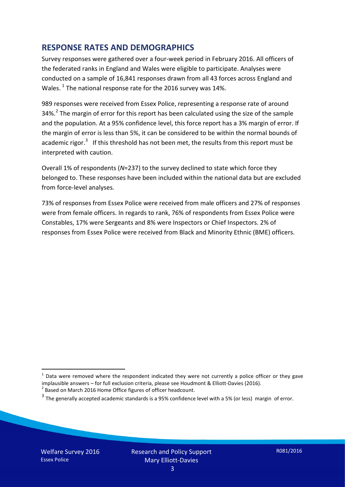### **RESPONSE RATES AND DEMOGRAPHICS**

Survey responses were gathered over a four-week period in February 2016. All officers of the federated ranks in England and Wales were eligible to participate. Analyses were conducted on a sample of 16,841 responses drawn from all 43 forces across England and Wales.  $^1$  $^1$  The national response rate for the 2016 survey was 14%.

989 responses were received from Essex Police, representing a response rate of around 34%.<sup>[2](#page-2-1)</sup> The margin of error for this report has been calculated using the size of the sample and the population. At a 95% confidence level, this force report has a 3% margin of error. If the margin of error is less than 5%, it can be considered to be within the normal bounds of academic rigor.<sup>[3](#page-2-2)</sup> If this threshold has not been met, the results from this report must be interpreted with caution.

Overall 1% of respondents (*N*=237) to the survey declined to state which force they belonged to. These responses have been included within the national data but are excluded from force-level analyses.

73% of responses from Essex Police were received from male officers and 27% of responses were from female officers. In regards to rank, 76% of respondents from Essex Police were Constables, 17% were Sergeants and 8% were Inspectors or Chief Inspectors. 2% of responses from Essex Police were received from Black and Minority Ethnic (BME) officers.

-

<span id="page-2-0"></span> $1$  Data were removed where the respondent indicated they were not currently a police officer or they gave implausible answers – for full exclusion criteria, please see Houdmont & Elliott-Davies (2016).<br><sup>2</sup> Based on March 2016 Home Office figures of officer headcount.

<span id="page-2-1"></span>

<span id="page-2-2"></span> $3$  The generally accepted academic standards is a 95% confidence level with a 5% (or less) margin of error.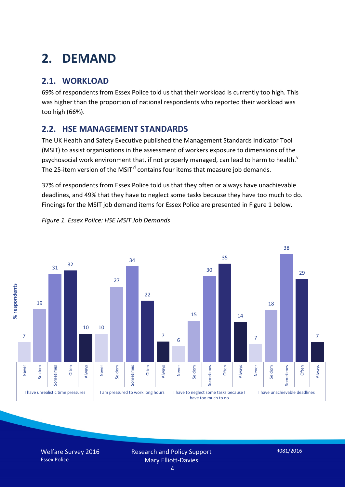# **2. DEMAND**

# **2.1. WORKLOAD**

69% of respondents from Essex Police told us that their workload is currently too high. This was higher than the proportion of national respondents who reported their workload was too high (66%).

## **2.2. HSE MANAGEMENT STANDARDS**

The UK Health and Safety Executive published the Management Standards Indicator Tool (MSIT) to assist organisations in the assessment of workers exposure to dimensions of the psychosocial work en[v](#page-15-4)ironment that, if not properly managed, can lead to harm to health.<sup>v</sup> The 25-item version of the MSIT<sup>[vi](#page-15-5)</sup> contains four items that measure job demands.

37% of respondents from Essex Police told us that they often or always have unachievable deadlines, and 49% that they have to neglect some tasks because they have too much to do. Findings for the MSIT job demand items for Essex Police are presented in Figure 1 below.



*Figure 1. Essex Police: HSE MSIT Job Demands*

Welfare Survey 2016 Essex Police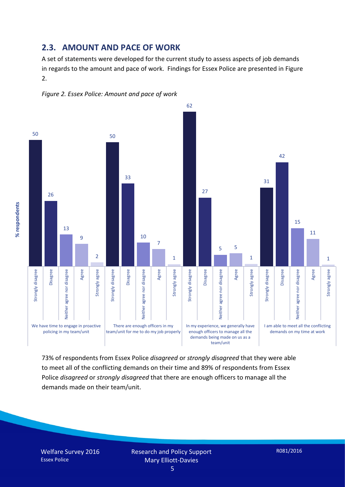### **2.3. AMOUNT AND PACE OF WORK**

A set of statements were developed for the current study to assess aspects of job demands in regards to the amount and pace of work. Findings for Essex Police are presented in Figure 2.





73% of respondents from Essex Police *disagreed* or *strongly disagreed* that they were able to meet all of the conflicting demands on their time and 89% of respondents from Essex Police *disagreed* or *strongly disagreed* that there are enough officers to manage all the demands made on their team/unit.

% respondents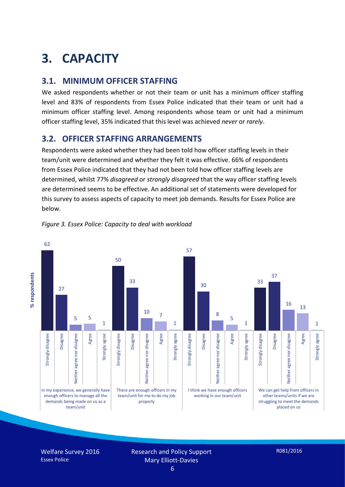# **3. CAPACITY**

### **3.1. MINIMUM OFFICER STAFFING**

We asked respondents whether or not their team or unit has a minimum officer staffing level and 83% of respondents from Essex Police indicated that their team or unit had a minimum officer staffing level. Among respondents whose team or unit had a minimum officer staffing level, 35% indicated that this level was achieved *never* or *rarely*.

## **3.2. OFFICER STAFFING ARRANGEMENTS**

Respondents were asked whether they had been told how officer staffing levels in their team/unit were determined and whether they felt it was effective. 66% of respondents from Essex Police indicated that they had not been told how officer staffing levels are determined, whilst 77% *disagreed* or *strongly disagreed* that the way officer staffing levels are determined seems to be effective. An additional set of statements were developed for this survey to assess aspects of capacity to meet job demands. Results for Essex Police are below.



#### *Figure 3. Essex Police: Capacity to deal with workload*

Welfare Survey 2016 Essex Police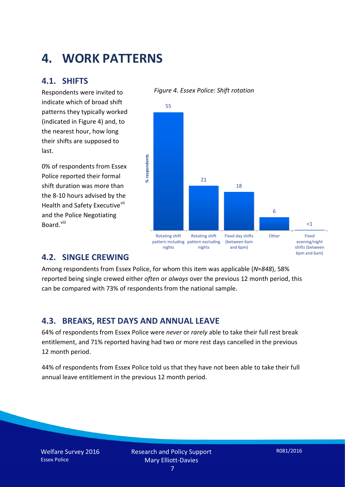# **4. WORK PATTERNS**

### **4.1. SHIFTS**

Respondents were invited to indicate which of broad shift patterns they typically worked (indicated in Figure 4) and, to the nearest hour, how long their shifts are supposed to last.

0% of respondents from Essex Police reported their formal shift duration was more than the 8-10 hours advised by the Health and Safety Executive<sup>[vii](#page-15-6)</sup> and the Police Negotiating Board.<sup>[viii](#page-15-7)</sup>

#### 55 % respondents **% respondents** 21 18 6  $<1$ Rotating shift Rotating shift Fixed day shifts Other Fixed evening/night pattern including pattern excluding (between 6am nights nights and 6pm) shifts (between

#### *Figure 4. Essex Police: Shift rotation*

### **4.2. SINGLE CREWING**

Among respondents from Essex Police, for whom this item was applicable (*N*=*848*), 58% reported being single crewed either *often* or *always* over the previous 12 month period, this can be compared with 73% of respondents from the national sample.

### **4.3. BREAKS, REST DAYS AND ANNUAL LEAVE**

64% of respondents from Essex Police were *never* or *rarely* able to take their full rest break entitlement, and 71% reported having had two or more rest days cancelled in the previous 12 month period.

44% of respondents from Essex Police told us that they have not been able to take their full annual leave entitlement in the previous 12 month period.

6pm and 6am)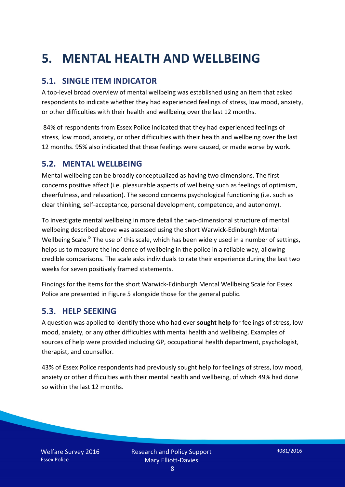# **5. MENTAL HEALTH AND WELLBEING**

# **5.1. SINGLE ITEM INDICATOR**

A top-level broad overview of mental wellbeing was established using an item that asked respondents to indicate whether they had experienced feelings of stress, low mood, anxiety, or other difficulties with their health and wellbeing over the last 12 months.

84% of respondents from Essex Police indicated that they had experienced feelings of stress, low mood, anxiety, or other difficulties with their health and wellbeing over the last 12 months. 95% also indicated that these feelings were caused, or made worse by work.

### **5.2. MENTAL WELLBEING**

Mental wellbeing can be broadly conceptualized as having two dimensions. The first concerns positive affect (i.e. pleasurable aspects of wellbeing such as feelings of optimism, cheerfulness, and relaxation). The second concerns psychological functioning (i.e. such as clear thinking, self-acceptance, personal development, competence, and autonomy).

To investigate mental wellbeing in more detail the two-dimensional structure of mental wellbeing described above was assessed using the short Warwick-Edinburgh Mental Wellbeing Scale.<sup>[ix](#page-15-8)</sup> The use of this scale, which has been widely used in a number of settings, helps us to measure the incidence of wellbeing in the police in a reliable way, allowing credible comparisons. The scale asks individuals to rate their experience during the last two weeks for seven positively framed statements.

Findings for the items for the short Warwick-Edinburgh Mental Wellbeing Scale for Essex Police are presented in Figure 5 alongside those for the general public.

### **5.3. HELP SEEKING**

A question was applied to identify those who had ever **sought help** for feelings of stress, low mood, anxiety, or any other difficulties with mental health and wellbeing. Examples of sources of help were provided including GP, occupational health department, psychologist, therapist, and counsellor.

43% of Essex Police respondents had previously sought help for feelings of stress, low mood, anxiety or other difficulties with their mental health and wellbeing, of which 49% had done so within the last 12 months.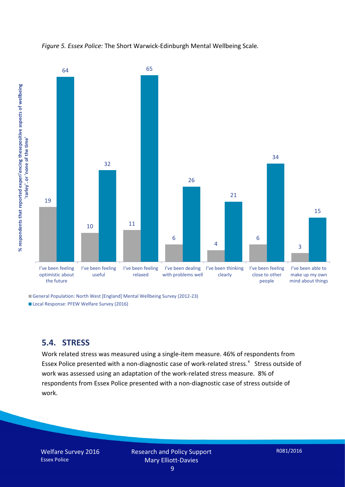



■ General Population: North West [England] Mental Wellbeing Survey (2012-23) Local Response: PFEW Welfare Survey (2016)

### **5.4. STRESS**

Work related stress was measured using a single-item measure. 46% of respondents from Esse[x](#page-15-9) Police presented with a non-diagnostic case of work-related stress.<sup>x</sup> Stress outside of work was assessed using an adaptation of the work-related stress measure. 8% of respondents from Essex Police presented with a non-diagnostic case of stress outside of work.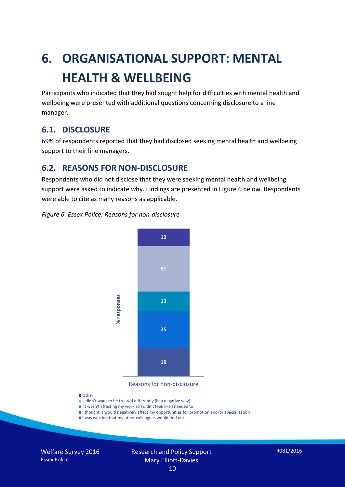# **6. ORGANISATIONAL SUPPORT: MENTAL HEALTH & WELLBEING**

Participants who indicated that they had sought help for difficulties with mental health and wellbeing were presented with additional questions concerning disclosure to a line manager.

### **6.1. DISCLOSURE**

69% of respondents reported that they had disclosed seeking mental health and wellbeing support to their line managers.

## **6.2. REASONS FOR NON-DISCLOSURE**

Respondents who did not disclose that they were seeking mental health and wellbeing support were asked to indicate why. Findings are presented in Figure 6 below. Respondents were able to cite as many reasons as applicable.

#### *Figure 6. Essex Police: Reasons for non-disclosure*



Reasons for non-disclosure

#### **D**Other

- I didn't want to be treated differently (in a negative way)
- I It wasn't affecting my work so I didn't feeli like I needed to
- I thought it would negatively affect my opportunities for promotion and/or specialisation
- I was worried that my other colleagues would find out

Welfare Survey 2016 Essex Police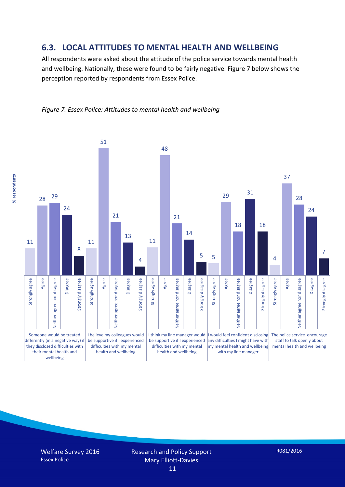### **6.3. LOCAL ATTITUDES TO MENTAL HEALTH AND WELLBEING**

All respondents were asked about the attitude of the police service towards mental health and wellbeing. Nationally, these were found to be fairly negative. Figure 7 below shows the perception reported by respondents from Essex Police.





Welfare Survey 2016 Essex Police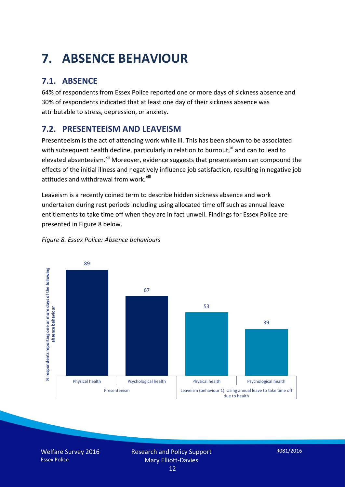# **7. ABSENCE BEHAVIOUR**

# **7.1. ABSENCE**

64% of respondents from Essex Police reported one or more days of sickness absence and 30% of respondents indicated that at least one day of their sickness absence was attributable to stress, depression, or anxiety.

# **7.2. PRESENTEEISM AND LEAVEISM**

Presenteeism is the act of attending work while ill. This has been shown to be associated with subsequent health decline, particularly in relation to burnout, $x_i$  and can to lead to elevated absenteeism.<sup>[xii](#page-16-1)</sup> Moreover, evidence suggests that presenteeism can compound the effects of the initial illness and negatively influence job satisfaction, resulting in negative job attitudes and withdrawal from work.<sup>[xiii](#page-16-2)</sup>

Leaveism is a recently coined term to describe hidden sickness absence and work undertaken during rest periods including using allocated time off such as annual leave entitlements to take time off when they are in fact unwell. Findings for Essex Police are presented in Figure 8 below.



#### *Figure 8. Essex Police: Absence behaviours*

Welfare Survey 2016 Essex Police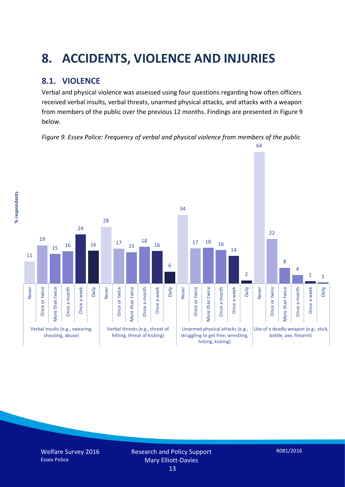# **8. ACCIDENTS, VIOLENCE AND INJURIES**

# **8.1. VIOLENCE**

% respondents **% respondents** Verbal and physical violence was assessed using four questions regarding how often officers received verbal insults, verbal threats, unarmed physical attacks, and attacks with a weapon from members of the public over the previous 12 months. Findings are presented in Figure 9 below.

*Figure 9. Essex Police: Frequency of verbal and physical violence from members of the public*

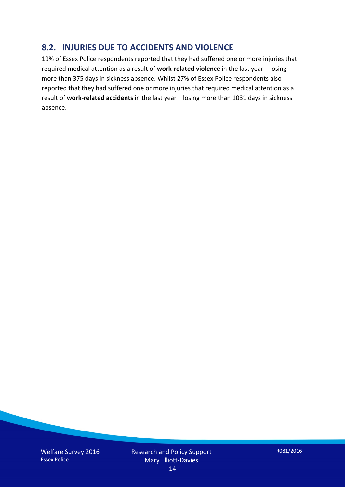## **8.2. INJURIES DUE TO ACCIDENTS AND VIOLENCE**

19% of Essex Police respondents reported that they had suffered one or more injuries that required medical attention as a result of **work-related violence** in the last year – losing more than 375 days in sickness absence. Whilst 27% of Essex Police respondents also reported that they had suffered one or more injuries that required medical attention as a result of **work-related accidents** in the last year – losing more than 1031 days in sickness absence.

Welfare Survey 2016 Essex Police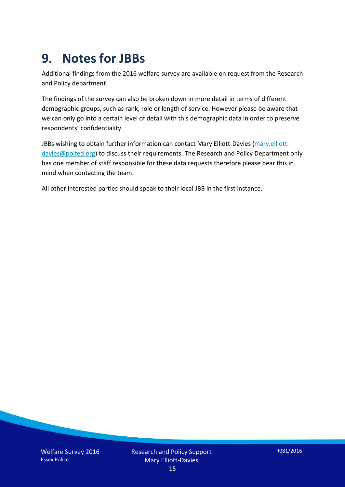# **9. Notes for JBBs**

Additional findings from the 2016 welfare survey are available on request from the Research and Policy department.

The findings of the survey can also be broken down in more detail in terms of different demographic groups, such as rank, role or length of service. However please be aware that we can only go into a certain level of detail with this demographic data in order to preserve respondents' confidentiality.

JBBs wishing to obtain further information can contact Mary Elliott-Davies [\(mary.elliott](mailto:mary.elliott-davies@polfed.org)[davies@polfed.org\)](mailto:mary.elliott-davies@polfed.org) to discuss their requirements. The Research and Policy Department only has one member of staff responsible for these data requests therefore please bear this in mind when contacting the team.

All other interested parties should speak to their local JBB in the first instance.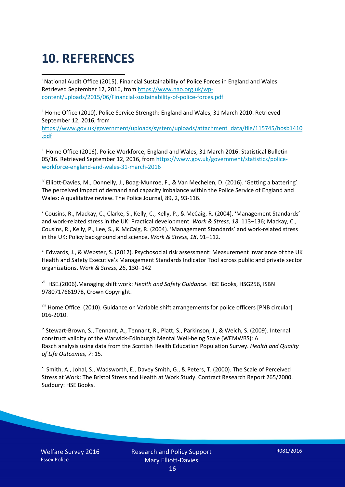# **10. REFERENCES**

<span id="page-15-0"></span>i National Audit Office (2015). Financial Sustainability of Police Forces in England and Wales. Retrieved September 12, 2016, fro[m https://www.nao.org.uk/wp](https://www.nao.org.uk/wp-content/uploads/2015/06/Financial-sustainability-of-police-forces.pdf)[content/uploads/2015/06/Financial-sustainability-of-police-forces.pdf](https://www.nao.org.uk/wp-content/uploads/2015/06/Financial-sustainability-of-police-forces.pdf)

<span id="page-15-1"></span><sup>ii</sup> Home Office (2010). Police Service Strength: England and Wales, 31 March 2010. Retrieved September 12, 2016, from [https://www.gov.uk/government/uploads/system/uploads/attachment\\_data/file/115745/hosb1410](https://www.gov.uk/government/uploads/system/uploads/attachment_data/file/115745/hosb1410.pdf) [.pdf](https://www.gov.uk/government/uploads/system/uploads/attachment_data/file/115745/hosb1410.pdf)

<span id="page-15-2"></span><sup>iii</sup> Home Office (2016). Police Workforce, England and Wales, 31 March 2016. Statistical Bulletin 05/16. Retrieved September 12, 2016, fro[m https://www.gov.uk/government/statistics/police](https://www.gov.uk/government/statistics/police-workforce-england-and-wales-31-march-2016)[workforce-england-and-wales-31-march-2016](https://www.gov.uk/government/statistics/police-workforce-england-and-wales-31-march-2016)

<span id="page-15-3"></span><sup>iv</sup> Elliott-Davies, M., Donnelly, J., Boag-Munroe, F., & Van Mechelen, D. (2016). 'Getting a battering' The perceived impact of demand and capacity imbalance within the Police Service of England and Wales: A qualitative review. The Police Journal, 89, 2, 93-116.

<span id="page-15-4"></span><sup>v</sup> Cousins, R., Mackay, C., Clarke, S., Kelly, C., Kelly, P., & McCaig, R. (2004). 'Management Standards' and work-related stress in the UK: Practical development. *Work & Stress, 18*, 113–136; Mackay, C., Cousins, R., Kelly, P., Lee, S., & McCaig, R. (2004). 'Management Standards' and work-related stress in the UK: Policy background and science. *Work & Stress, 18*, 91–112.

<span id="page-15-5"></span>vi Edwards, J., & Webster, S. (2012). Psychosocial risk assessment: Measurement invariance of the UK Health and Safety Executive's Management Standards Indicator Tool across public and private sector organizations. *Work & Stress, 26*, 130–142

<span id="page-15-6"></span>vii HSE.(2006).Managing shift work: *Health and Safety Guidance*. HSE Books, HSG256, ISBN 9780717661978, Crown Copyright.

<span id="page-15-7"></span>viii Home Office. (2010). Guidance on Variable shift arrangements for police officers [PNB circular] 016-2010.

<span id="page-15-8"></span><sup>ix</sup> Stewart-Brown, S., Tennant, A., Tennant, R., Platt, S., Parkinson, J., & Weich, S. (2009). Internal construct validity of the Warwick-Edinburgh Mental Well-being Scale (WEMWBS): A Rasch analysis using data from the Scottish Health Education Population Survey. *Health and Quality of Life Outcomes, 7*: 15.

<span id="page-15-9"></span>x Smith, A., Johal, S., Wadsworth, E., Davey Smith, G., & Peters, T. (2000). The Scale of Perceived Stress at Work: The Bristol Stress and Health at Work Study. Contract Research Report 265/2000. Sudbury: HSE Books.